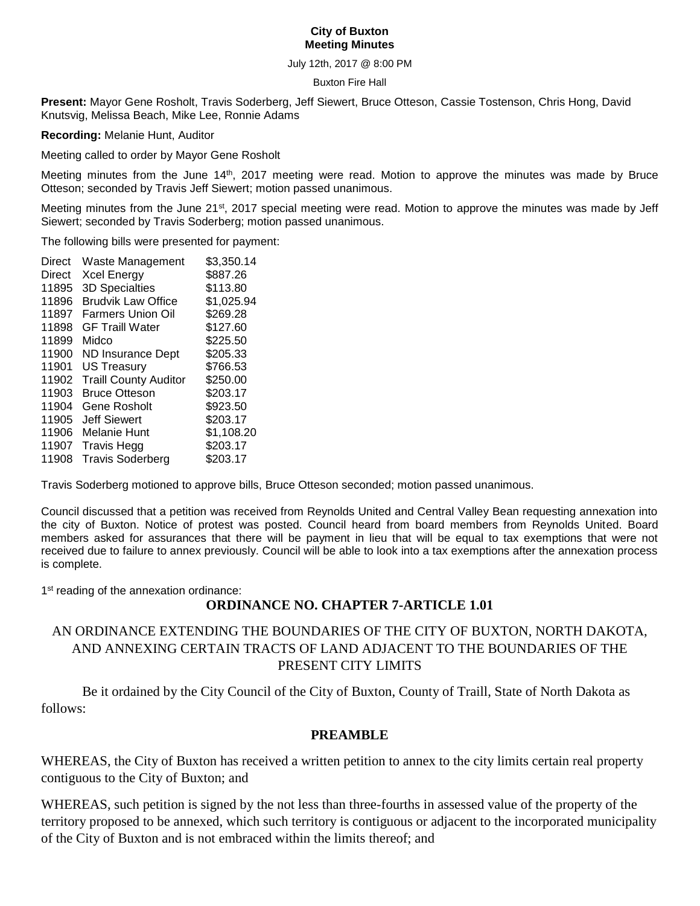### **City of Buxton Meeting Minutes**

July 12th, 2017 @ 8:00 PM

#### Buxton Fire Hall

**Present:** Mayor Gene Rosholt, Travis Soderberg, Jeff Siewert, Bruce Otteson, Cassie Tostenson, Chris Hong, David Knutsvig, Melissa Beach, Mike Lee, Ronnie Adams

**Recording:** Melanie Hunt, Auditor

Meeting called to order by Mayor Gene Rosholt

Meeting minutes from the June 14th, 2017 meeting were read. Motion to approve the minutes was made by Bruce Otteson; seconded by Travis Jeff Siewert; motion passed unanimous.

Meeting minutes from the June 21<sup>st</sup>, 2017 special meeting were read. Motion to approve the minutes was made by Jeff Siewert; seconded by Travis Soderberg; motion passed unanimous.

The following bills were presented for payment:

| Direct | Waste Management             | \$3,350.14 |
|--------|------------------------------|------------|
| Direct | <b>Xcel Energy</b>           | \$887.26   |
| 11895  | 3D Specialties               | \$113.80   |
| 11896  | <b>Brudvik Law Office</b>    | \$1,025.94 |
| 11897  | <b>Farmers Union Oil</b>     | \$269.28   |
| 11898  | <b>GF Traill Water</b>       | \$127.60   |
| 11899  | Midco                        | \$225.50   |
| 11900  | <b>ND Insurance Dept</b>     | \$205.33   |
| 11901  | <b>US Treasury</b>           | \$766.53   |
| 11902  | <b>Traill County Auditor</b> | \$250.00   |
| 11903  | <b>Bruce Otteson</b>         | \$203.17   |
| 11904  | Gene Rosholt                 | \$923.50   |
| 11905  | <b>Jeff Siewert</b>          | \$203.17   |
| 11906  | Melanie Hunt                 | \$1,108.20 |
| 11907  | <b>Travis Hegg</b>           | \$203.17   |
| 11908  | <b>Travis Soderberg</b>      | \$203.17   |
|        |                              |            |

Travis Soderberg motioned to approve bills, Bruce Otteson seconded; motion passed unanimous.

Council discussed that a petition was received from Reynolds United and Central Valley Bean requesting annexation into the city of Buxton. Notice of protest was posted. Council heard from board members from Reynolds United. Board members asked for assurances that there will be payment in lieu that will be equal to tax exemptions that were not received due to failure to annex previously. Council will be able to look into a tax exemptions after the annexation process is complete.

1<sup>st</sup> reading of the annexation ordinance:

### **ORDINANCE NO. CHAPTER 7-ARTICLE 1.01**

## AN ORDINANCE EXTENDING THE BOUNDARIES OF THE CITY OF BUXTON, NORTH DAKOTA, AND ANNEXING CERTAIN TRACTS OF LAND ADJACENT TO THE BOUNDARIES OF THE PRESENT CITY LIMITS

Be it ordained by the City Council of the City of Buxton, County of Traill, State of North Dakota as follows:

### **PREAMBLE**

WHEREAS, the City of Buxton has received a written petition to annex to the city limits certain real property contiguous to the City of Buxton; and

WHEREAS, such petition is signed by the not less than three-fourths in assessed value of the property of the territory proposed to be annexed, which such territory is contiguous or adjacent to the incorporated municipality of the City of Buxton and is not embraced within the limits thereof; and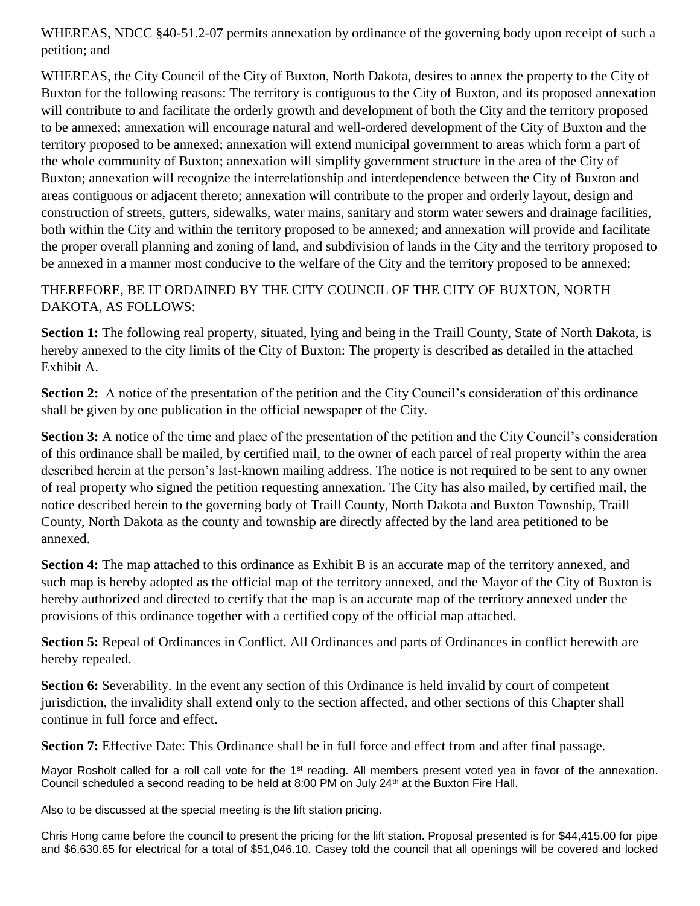WHEREAS, NDCC §40-51.2-07 permits annexation by ordinance of the governing body upon receipt of such a petition; and

WHEREAS, the City Council of the City of Buxton, North Dakota, desires to annex the property to the City of Buxton for the following reasons: The territory is contiguous to the City of Buxton, and its proposed annexation will contribute to and facilitate the orderly growth and development of both the City and the territory proposed to be annexed; annexation will encourage natural and well-ordered development of the City of Buxton and the territory proposed to be annexed; annexation will extend municipal government to areas which form a part of the whole community of Buxton; annexation will simplify government structure in the area of the City of Buxton; annexation will recognize the interrelationship and interdependence between the City of Buxton and areas contiguous or adjacent thereto; annexation will contribute to the proper and orderly layout, design and construction of streets, gutters, sidewalks, water mains, sanitary and storm water sewers and drainage facilities, both within the City and within the territory proposed to be annexed; and annexation will provide and facilitate the proper overall planning and zoning of land, and subdivision of lands in the City and the territory proposed to be annexed in a manner most conducive to the welfare of the City and the territory proposed to be annexed;

# THEREFORE, BE IT ORDAINED BY THE CITY COUNCIL OF THE CITY OF BUXTON, NORTH DAKOTA, AS FOLLOWS:

**Section 1:** The following real property, situated, lying and being in the Traill County, State of North Dakota, is hereby annexed to the city limits of the City of Buxton: The property is described as detailed in the attached Exhibit A.

**Section 2:** A notice of the presentation of the petition and the City Council's consideration of this ordinance shall be given by one publication in the official newspaper of the City.

**Section 3:** A notice of the time and place of the presentation of the petition and the City Council's consideration of this ordinance shall be mailed, by certified mail, to the owner of each parcel of real property within the area described herein at the person's last-known mailing address. The notice is not required to be sent to any owner of real property who signed the petition requesting annexation. The City has also mailed, by certified mail, the notice described herein to the governing body of Traill County, North Dakota and Buxton Township, Traill County, North Dakota as the county and township are directly affected by the land area petitioned to be annexed.

**Section 4:** The map attached to this ordinance as Exhibit B is an accurate map of the territory annexed, and such map is hereby adopted as the official map of the territory annexed, and the Mayor of the City of Buxton is hereby authorized and directed to certify that the map is an accurate map of the territory annexed under the provisions of this ordinance together with a certified copy of the official map attached.

**Section 5:** Repeal of Ordinances in Conflict. All Ordinances and parts of Ordinances in conflict herewith are hereby repealed.

**Section 6:** Severability. In the event any section of this Ordinance is held invalid by court of competent jurisdiction, the invalidity shall extend only to the section affected, and other sections of this Chapter shall continue in full force and effect.

**Section 7:** Effective Date: This Ordinance shall be in full force and effect from and after final passage.

Mayor Rosholt called for a roll call vote for the 1<sup>st</sup> reading. All members present voted yea in favor of the annexation. Council scheduled a second reading to be held at 8:00 PM on July 24<sup>th</sup> at the Buxton Fire Hall.

Also to be discussed at the special meeting is the lift station pricing.

Chris Hong came before the council to present the pricing for the lift station. Proposal presented is for \$44,415.00 for pipe and \$6,630.65 for electrical for a total of \$51,046.10. Casey told the council that all openings will be covered and locked